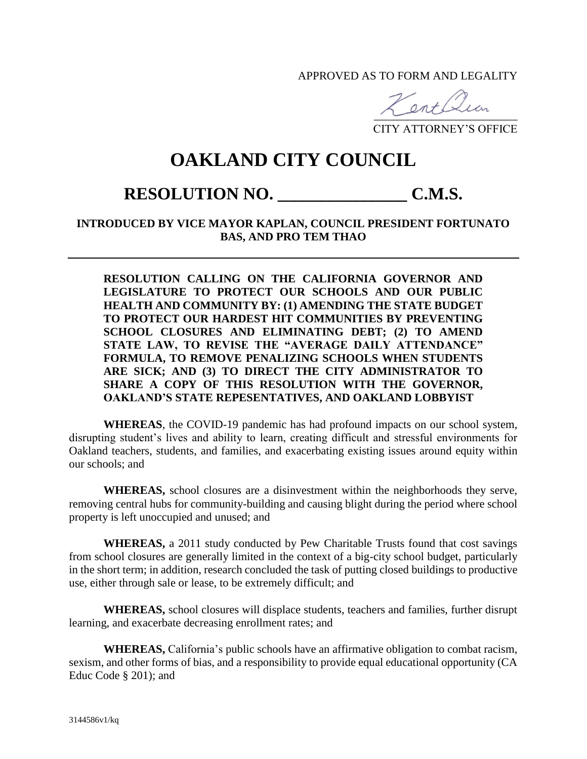APPROVED AS TO FORM AND LEGALITY

 $\overline{\phantom{a}}$ 

CITY ATTORNEY'S OFFICE

## **OAKLAND CITY COUNCIL**

## **RESOLUTION NO. \_\_\_\_\_\_\_\_\_\_\_\_\_\_\_ C.M.S.**

## **INTRODUCED BY VICE MAYOR KAPLAN, COUNCIL PRESIDENT FORTUNATO BAS, AND PRO TEM THAO**

**RESOLUTION CALLING ON THE CALIFORNIA GOVERNOR AND LEGISLATURE TO PROTECT OUR SCHOOLS AND OUR PUBLIC HEALTH AND COMMUNITY BY: (1) AMENDING THE STATE BUDGET TO PROTECT OUR HARDEST HIT COMMUNITIES BY PREVENTING SCHOOL CLOSURES AND ELIMINATING DEBT; (2) TO AMEND STATE LAW, TO REVISE THE "AVERAGE DAILY ATTENDANCE" FORMULA, TO REMOVE PENALIZING SCHOOLS WHEN STUDENTS ARE SICK; AND (3) TO DIRECT THE CITY ADMINISTRATOR TO SHARE A COPY OF THIS RESOLUTION WITH THE GOVERNOR, OAKLAND'S STATE REPESENTATIVES, AND OAKLAND LOBBYIST**

**WHEREAS**, the COVID-19 pandemic has had profound impacts on our school system, disrupting student's lives and ability to learn, creating difficult and stressful environments for Oakland teachers, students, and families, and exacerbating existing issues around equity within our schools; and

**WHEREAS,** school closures are a disinvestment within the neighborhoods they serve, removing central hubs for community-building and causing blight during the period where school property is left unoccupied and unused; and

**WHEREAS,** a 2011 study conducted by Pew Charitable Trusts found that cost savings from school closures are generally limited in the context of a big-city school budget, particularly in the short term; in addition, research concluded the task of putting closed buildings to productive use, either through sale or lease, to be extremely difficult; and

**WHEREAS,** school closures will displace students, teachers and families, further disrupt learning, and exacerbate decreasing enrollment rates; and

**WHEREAS,** California's public schools have an affirmative obligation to combat racism, sexism, and other forms of bias, and a responsibility to provide equal educational opportunity (CA Educ Code § 201); and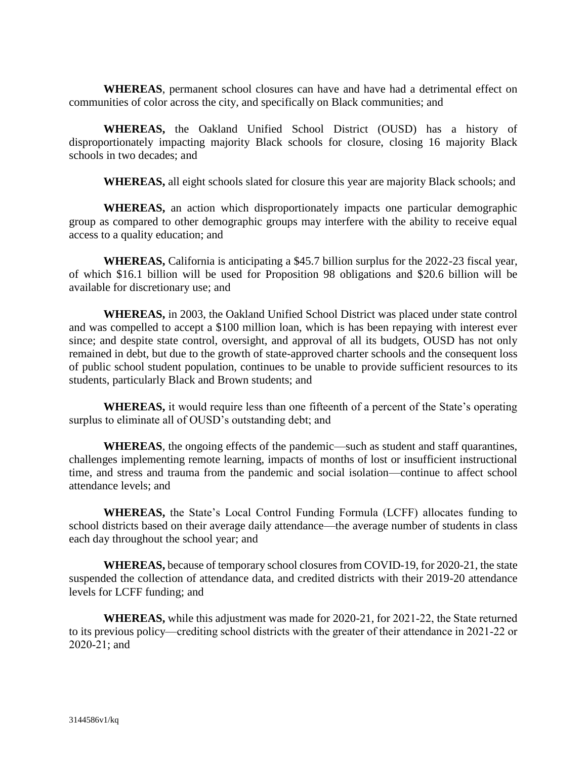**WHEREAS**, permanent school closures can have and have had a detrimental effect on communities of color across the city, and specifically on Black communities; and

**WHEREAS,** the Oakland Unified School District (OUSD) has a history of disproportionately impacting majority Black schools for closure, closing 16 majority Black schools in two decades; and

**WHEREAS,** all eight schools slated for closure this year are majority Black schools; and

**WHEREAS,** an action which disproportionately impacts one particular demographic group as compared to other demographic groups may interfere with the ability to receive equal access to a quality education; and

**WHEREAS,** California is anticipating a \$45.7 billion surplus for the 2022-23 fiscal year, of which \$16.1 billion will be used for Proposition 98 obligations and \$20.6 billion will be available for discretionary use; and

**WHEREAS,** in 2003, the Oakland Unified School District was placed under state control and was compelled to accept a \$100 million loan, which is has been repaying with interest ever since; and despite state control, oversight, and approval of all its budgets, OUSD has not only remained in debt, but due to the growth of state-approved charter schools and the consequent loss of public school student population, continues to be unable to provide sufficient resources to its students, particularly Black and Brown students; and

**WHEREAS,** it would require less than one fifteenth of a percent of the State's operating surplus to eliminate all of OUSD's outstanding debt; and

**WHEREAS**, the ongoing effects of the pandemic—such as student and staff quarantines, challenges implementing remote learning, impacts of months of lost or insufficient instructional time, and stress and trauma from the pandemic and social isolation—continue to affect school attendance levels; and

**WHEREAS,** the State's Local Control Funding Formula (LCFF) allocates funding to school districts based on their average daily attendance—the average number of students in class each day throughout the school year; and

**WHEREAS,** because of temporary school closures from COVID-19, for 2020-21, the state suspended the collection of attendance data, and credited districts with their 2019-20 attendance levels for LCFF funding; and

**WHEREAS,** while this adjustment was made for 2020-21, for 2021‑22, the State returned to its previous policy—crediting school districts with the greater of their attendance in 2021‑22 or 2020‑21; and